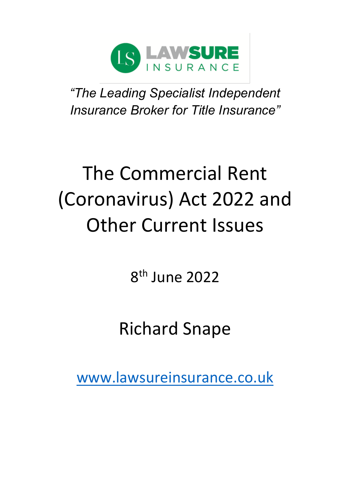

*"The Leading Specialist Independent Insurance Broker for Title Insurance"*

# The Commercial Rent (Coronavirus) Act 2022 and Other Current Issues

8 th June 2022

## Richard Snape

[www.lawsureinsurance.co.uk](http://www.lawsureinsurance.co.uk/)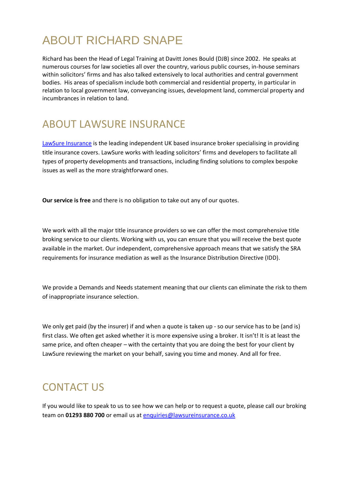## ABOUT RICHARD SNAPE

Richard has been the Head of Legal Training at Davitt Jones Bould (DJB) since 2002. He speaks at numerous courses for law societies all over the country, various public courses, in-house seminars within solicitors' firms and has also talked extensively to local authorities and central government bodies. His areas of specialism include both commercial and residential property, in particular in relation to local government law, conveyancing issues, development land, commercial property and incumbrances in relation to land.

## ABOUT LAWSURE INSURANCE

[LawSure Insurance](http://www.lawsureinsurance.co.uk/) is the leading independent UK based insurance broker specialising in providing title insurance covers. LawSure works with leading solicitors' firms and developers to facilitate all types of property developments and transactions, including finding solutions to complex bespoke issues as well as the more straightforward ones.

**Our service is free** and there is no obligation to take out any of our quotes.

We work with all the major title insurance providers so we can offer the most comprehensive title broking service to our clients. Working with us, you can ensure that you will receive the best quote available in the market. Our independent, comprehensive approach means that we satisfy the SRA requirements for insurance mediation as well as the Insurance Distribution Directive (IDD).

We provide a Demands and Needs statement meaning that our clients can eliminate the risk to them of inappropriate insurance selection.

We only get paid (by the insurer) if and when a quote is taken up - so our service has to be (and is) first class. We often get asked whether it is more expensive using a broker. It isn't! It is at least the same price, and often cheaper – with the certainty that you are doing the best for your client by LawSure reviewing the market on your behalf, saving you time and money. And all for free.

### CONTACT US

If you would like to speak to us to see how we can help or to request a quote, please call our broking team on **01293 880 700** or email us at [enquiries@lawsureinsurance.co.uk](mailto:enquiries@lawsureinsurance.co.uk)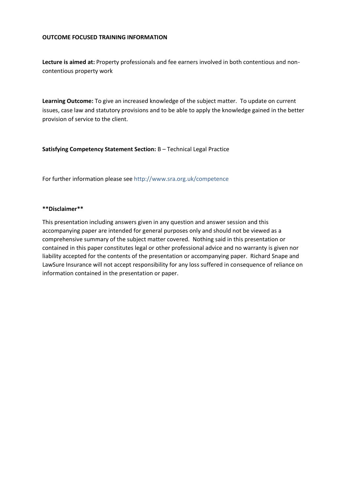#### **OUTCOME FOCUSED TRAINING INFORMATION**

**Lecture is aimed at:** Property professionals and fee earners involved in both contentious and noncontentious property work

**Learning Outcome:** To give an increased knowledge of the subject matter. To update on current issues, case law and statutory provisions and to be able to apply the knowledge gained in the better provision of service to the client.

**Satisfying Competency Statement Section:** B – Technical Legal Practice

For further information please see [http://www.sra.org.uk/competence](http://www.sra.org.uk/competence/)

#### **\*\*Disclaimer\*\***

This presentation including answers given in any question and answer session and this accompanying paper are intended for general purposes only and should not be viewed as a comprehensive summary of the subject matter covered. Nothing said in this presentation or contained in this paper constitutes legal or other professional advice and no warranty is given nor liability accepted for the contents of the presentation or accompanying paper. Richard Snape and LawSure Insurance will not accept responsibility for any loss suffered in consequence of reliance on information contained in the presentation or paper.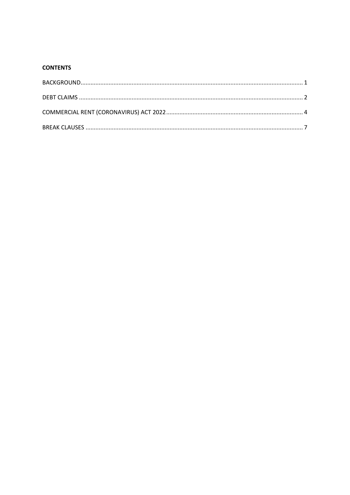#### **CONTENTS**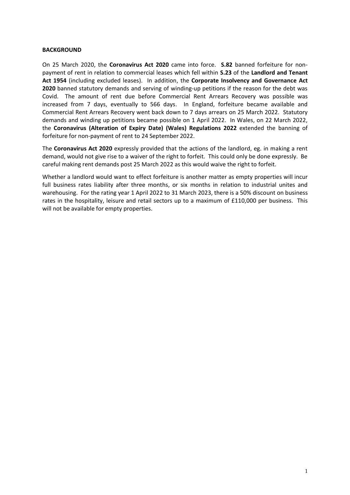#### <span id="page-4-0"></span>**BACKGROUND**

On 25 March 2020, the **Coronavirus Act 2020** came into force. **S.82** banned forfeiture for nonpayment of rent in relation to commercial leases which fell within **S.23** of the **Landlord and Tenant Act 1954** (including excluded leases). In addition, the **Corporate Insolvency and Governance Act 2020** banned statutory demands and serving of winding-up petitions if the reason for the debt was Covid. The amount of rent due before Commercial Rent Arrears Recovery was possible was increased from 7 days, eventually to 566 days. In England, forfeiture became available and Commercial Rent Arrears Recovery went back down to 7 days arrears on 25 March 2022. Statutory demands and winding up petitions became possible on 1 April 2022. In Wales, on 22 March 2022, the **Coronavirus (Alteration of Expiry Date) (Wales) Regulations 2022** extended the banning of forfeiture for non-payment of rent to 24 September 2022.

The **Coronavirus Act 2020** expressly provided that the actions of the landlord, eg. in making a rent demand, would not give rise to a waiver of the right to forfeit. This could only be done expressly. Be careful making rent demands post 25 March 2022 as this would waive the right to forfeit.

Whether a landlord would want to effect forfeiture is another matter as empty properties will incur full business rates liability after three months, or six months in relation to industrial unites and warehousing. For the rating year 1 April 2022 to 31 March 2023, there is a 50% discount on business rates in the hospitality, leisure and retail sectors up to a maximum of £110,000 per business. This will not be available for empty properties.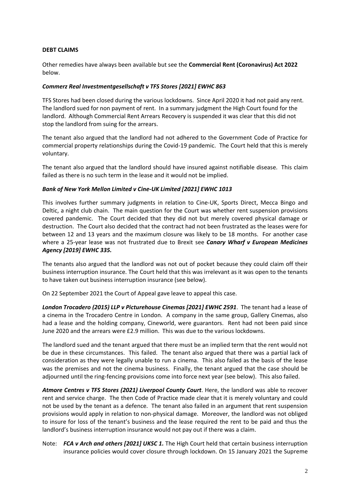#### <span id="page-5-0"></span>**DEBT CLAIMS**

Other remedies have always been available but see the **Commercial Rent (Coronavirus) Act 2022**  below.

#### *Commerz Real Investmentgesellschaft v TFS Stores [2021] EWHC 863*

TFS Stores had been closed during the various lockdowns. Since April 2020 it had not paid any rent. The landlord sued for non payment of rent. In a summary judgment the High Court found for the landlord. Although Commercial Rent Arrears Recovery is suspended it was clear that this did not stop the landlord from suing for the arrears.

The tenant also argued that the landlord had not adhered to the Government Code of Practice for commercial property relationships during the Covid-19 pandemic. The Court held that this is merely voluntary.

The tenant also argued that the landlord should have insured against notifiable disease. This claim failed as there is no such term in the lease and it would not be implied.

#### *Bank of New York Mellon Limited v Cine-UK Limited [2021] EWHC 1013*

This involves further summary judgments in relation to Cine-UK, Sports Direct, Mecca Bingo and Deltic, a night club chain. The main question for the Court was whether rent suspension provisions covered pandemic. The Court decided that they did not but merely covered physical damage or destruction. The Court also decided that the contract had not been frustrated as the leases were for between 12 and 13 years and the maximum closure was likely to be 18 months. For another case where a 25-year lease was not frustrated due to Brexit see *Canary Wharf v European Medicines Agency [2019] EWHC 335.*

The tenants also argued that the landlord was not out of pocket because they could claim off their business interruption insurance. The Court held that this was irrelevant as it was open to the tenants to have taken out business interruption insurance (see below).

On 22 September 2021 the Court of Appeal gave leave to appeal this case.

*London Trocadero (2015) LLP v Picturehouse Cinemas [2021] EWHC 2591*. The tenant had a lease of a cinema in the Trocadero Centre in London. A company in the same group, Gallery Cinemas, also had a lease and the holding company, Cineworld, were guarantors. Rent had not been paid since June 2020 and the arrears were £2.9 million. This was due to the various lockdowns.

The landlord sued and the tenant argued that there must be an implied term that the rent would not be due in these circumstances. This failed. The tenant also argued that there was a partial lack of consideration as they were legally unable to run a cinema. This also failed as the basis of the lease was the premises and not the cinema business. Finally, the tenant argued that the case should be adjourned until the ring-fencing provisions come into force next year (see below). This also failed.

*Atmore Centres v TFS Stores (2021) Liverpool County Court*. Here, the landlord was able to recover rent and service charge. The then Code of Practice made clear that it is merely voluntary and could not be used by the tenant as a defence. The tenant also failed in an argument that rent suspension provisions would apply in relation to non-physical damage. Moreover, the landlord was not obliged to insure for loss of the tenant's business and the lease required the rent to be paid and thus the landlord's business interruption insurance would not pay out if there was a claim.

Note: *FCA v Arch and others [2021] UKSC 1.* The High Court held that certain business interruption insurance policies would cover closure through lockdown. On 15 January 2021 the Supreme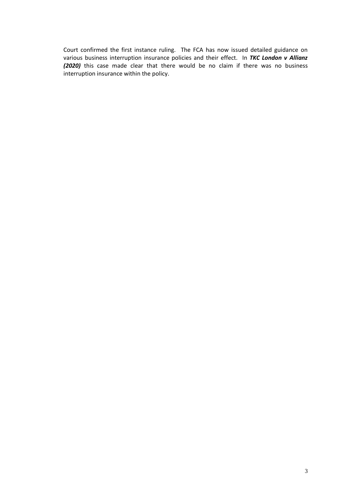Court confirmed the first instance ruling. The FCA has now issued detailed guidance on various business interruption insurance policies and their effect. In *TKC London v Allianz (2020)* this case made clear that there would be no claim if there was no business interruption insurance within the policy.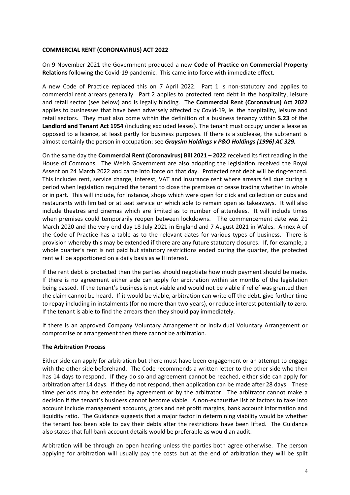#### <span id="page-7-0"></span>**COMMERCIAL RENT (CORONAVIRUS) ACT 2022**

On 9 November 2021 the Government produced a new **Code of Practice on Commercial Property Relations** following the Covid-19 pandemic. This came into force with immediate effect.

A new Code of Practice replaced this on 7 April 2022. Part 1 is non-statutory and applies to commercial rent arrears generally. Part 2 applies to protected rent debt in the hospitality, leisure and retail sector (see below) and is legally binding. The **Commercial Rent (Coronavirus) Act 2022** applies to businesses that have been adversely affected by Covid-19, ie. the hospitality, leisure and retail sectors. They must also come within the definition of a business tenancy within **S.23** of the **Landlord and Tenant Act 1954** (including excluded leases). The tenant must occupy under a lease as opposed to a licence, at least partly for business purposes. If there is a sublease, the subtenant is almost certainly the person in occupation: see *Graysim Holdings v P&O Holdings [1996] AC 329.*

On the same day the **Commercial Rent (Coronavirus) Bill 2021 – 2022** received its first reading in the House of Commons. The Welsh Government are also adopting the legislation received the Royal Assent on 24 March 2022 and came into force on that day. Protected rent debt will be ring-fenced. This includes rent, service charge, interest, VAT and insurance rent where arrears fell due during a period when legislation required the tenant to close the premises or cease trading whether in whole or in part. This will include, for instance, shops which were open for click and collection or pubs and restaurants with limited or at seat service or which able to remain open as takeaways. It will also include theatres and cinemas which are limited as to number of attendees. It will include times when premises could temporarily reopen between lockdowns. The commencement date was 21 March 2020 and the very end day 18 July 2021 in England and 7 August 2021 in Wales. Annex A of the Code of Practice has a table as to the relevant dates for various types of business. There is provision whereby this may be extended if there are any future statutory closures. If, for example, a whole quarter's rent is not paid but statutory restrictions ended during the quarter, the protected rent will be apportioned on a daily basis as will interest.

If the rent debt is protected then the parties should negotiate how much payment should be made. If there is no agreement either side can apply for arbitration within six months of the legislation being passed. If the tenant's business is not viable and would not be viable if relief was granted then the claim cannot be heard. If it would be viable, arbitration can write off the debt, give further time to repay including in instalments (for no more than two years), or reduce interest potentially to zero. If the tenant is able to find the arrears then they should pay immediately.

If there is an approved Company Voluntary Arrangement or Individual Voluntary Arrangement or compromise or arrangement then there cannot be arbitration.

#### **The Arbitration Process**

Either side can apply for arbitration but there must have been engagement or an attempt to engage with the other side beforehand. The Code recommends a written letter to the other side who then has 14 days to respond. If they do so and agreement cannot be reached, either side can apply for arbitration after 14 days. If they do not respond, then application can be made after 28 days. These time periods may be extended by agreement or by the arbitrator. The arbitrator cannot make a decision if the tenant's business cannot become viable. A non-exhaustive list of factors to take into account include management accounts, gross and net profit margins, bank account information and liquidity ratio. The Guidance suggests that a major factor in determining viability would be whether the tenant has been able to pay their debts after the restrictions have been lifted. The Guidance also states that full bank account details would be preferable as would an audit.

Arbitration will be through an open hearing unless the parties both agree otherwise. The person applying for arbitration will usually pay the costs but at the end of arbitration they will be split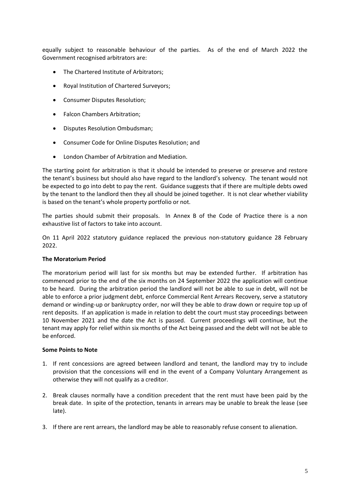equally subject to reasonable behaviour of the parties. As of the end of March 2022 the Government recognised arbitrators are:

- The Chartered Institute of Arbitrators;
- Royal Institution of Chartered Surveyors;
- Consumer Disputes Resolution;
- Falcon Chambers Arbitration;
- Disputes Resolution Ombudsman;
- Consumer Code for Online Disputes Resolution; and
- London Chamber of Arbitration and Mediation.

The starting point for arbitration is that it should be intended to preserve or preserve and restore the tenant's business but should also have regard to the landlord's solvency. The tenant would not be expected to go into debt to pay the rent. Guidance suggests that if there are multiple debts owed by the tenant to the landlord then they all should be joined together. It is not clear whether viability is based on the tenant's whole property portfolio or not.

The parties should submit their proposals. In Annex B of the Code of Practice there is a non exhaustive list of factors to take into account.

On 11 April 2022 statutory guidance replaced the previous non-statutory guidance 28 February 2022.

#### **The Moratorium Period**

The moratorium period will last for six months but may be extended further. If arbitration has commenced prior to the end of the six months on 24 September 2022 the application will continue to be heard. During the arbitration period the landlord will not be able to sue in debt, will not be able to enforce a prior judgment debt, enforce Commercial Rent Arrears Recovery, serve a statutory demand or winding-up or bankruptcy order, nor will they be able to draw down or require top up of rent deposits. If an application is made in relation to debt the court must stay proceedings between 10 November 2021 and the date the Act is passed. Current proceedings will continue, but the tenant may apply for relief within six months of the Act being passed and the debt will not be able to be enforced.

#### **Some Points to Note**

- 1. If rent concessions are agreed between landlord and tenant, the landlord may try to include provision that the concessions will end in the event of a Company Voluntary Arrangement as otherwise they will not qualify as a creditor.
- 2. Break clauses normally have a condition precedent that the rent must have been paid by the break date. In spite of the protection, tenants in arrears may be unable to break the lease (see late).
- 3. If there are rent arrears, the landlord may be able to reasonably refuse consent to alienation.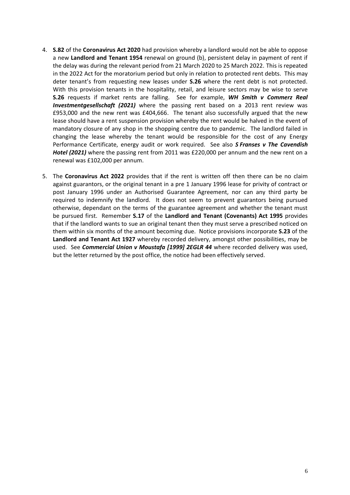- 4. **S.82** of the **Coronavirus Act 2020** had provision whereby a landlord would not be able to oppose a new **Landlord and Tenant 1954** renewal on ground (b), persistent delay in payment of rent if the delay was during the relevant period from 21 March 2020 to 25 March 2022. This is repeated in the 2022 Act for the moratorium period but only in relation to protected rent debts. This may deter tenant's from requesting new leases under **S.26** where the rent debt is not protected. With this provision tenants in the hospitality, retail, and leisure sectors may be wise to serve **S.26** requests if market rents are falling. See for example, *WH Smith v Commerz Real Investmentgesellschaft (2021)* where the passing rent based on a 2013 rent review was £953,000 and the new rent was £404,666. The tenant also successfully argued that the new lease should have a rent suspension provision whereby the rent would be halved in the event of mandatory closure of any shop in the shopping centre due to pandemic. The landlord failed in changing the lease whereby the tenant would be responsible for the cost of any Energy Performance Certificate, energy audit or work required. See also *S Franses v The Cavendish Hotel (2021)* where the passing rent from 2011 was £220,000 per annum and the new rent on a renewal was £102,000 per annum.
- 5. The **Coronavirus Act 2022** provides that if the rent is written off then there can be no claim against guarantors, or the original tenant in a pre 1 January 1996 lease for privity of contract or post January 1996 under an Authorised Guarantee Agreement, nor can any third party be required to indemnify the landlord. It does not seem to prevent guarantors being pursued otherwise, dependant on the terms of the guarantee agreement and whether the tenant must be pursued first. Remember **S.17** of the **Landlord and Tenant (Covenants) Act 1995** provides that if the landlord wants to sue an original tenant then they must serve a prescribed noticed on them within six months of the amount becoming due. Notice provisions incorporate **S.23** of the **Landlord and Tenant Act 1927** whereby recorded delivery, amongst other possibilities, may be used. See *Commercial Union v Moustafa [1999] 2EGLR 44* where recorded delivery was used, but the letter returned by the post office, the notice had been effectively served.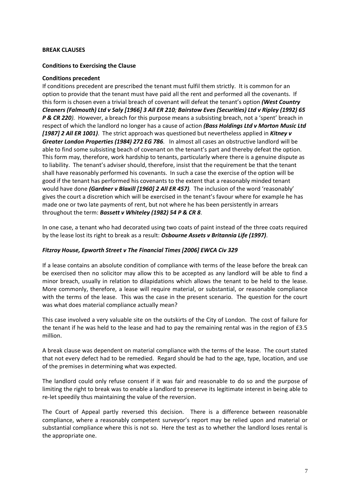#### <span id="page-10-0"></span>**BREAK CLAUSES**

#### **Conditions to Exercising the Clause**

#### **Conditions precedent**

If conditions precedent are prescribed the tenant must fulfil them strictly. It is common for an option to provide that the tenant must have paid all the rent and performed all the covenants. If this form is chosen even a trivial breach of covenant will defeat the tenant's option *(West Country Cleaners (Falmouth) Ltd v Saly [1966] 3 All ER 210; Bairstow Eves (Securities) Ltd v Ripley (1992) 65 P & CR 220).* However, a breach for this purpose means a subsisting breach, not a 'spent' breach in respect of which the landlord no longer has a cause of action *(Bass Holdings Ltd v Morton Music Ltd [1987] 2 All ER 1001)*. The strict approach was questioned but nevertheless applied in *Kitney v Greater London Properties (1984) 272 EG 786.* In almost all cases an obstructive landlord will be able to find some subsisting beach of covenant on the tenant's part and thereby defeat the option. This form may, therefore, work hardship to tenants, particularly where there is a genuine dispute as to liability. The tenant's adviser should, therefore, insist that the requirement be that the tenant shall have reasonably performed his covenants. In such a case the exercise of the option will be good if the tenant has performed his covenants to the extent that a reasonably minded tenant would have done *(Gardner v Blaxill [1960] 2 All ER 457).* The inclusion of the word 'reasonably' gives the court a discretion which will be exercised in the tenant's favour where for example he has made one or two late payments of rent, but not where he has been persistently in arrears throughout the term: *Bassett v Whiteley (1982) 54 P & CR 8*.

In one case, a tenant who had decorated using two coats of paint instead of the three coats required by the lease lost its right to break as a result: *Osbourne Assets v Britannia Life (1997)*.

#### *Fitzroy House, Epworth Street v The Financial Times [2006] EWCA Civ 329*

If a lease contains an absolute condition of compliance with terms of the lease before the break can be exercised then no solicitor may allow this to be accepted as any landlord will be able to find a minor breach, usually in relation to dilapidations which allows the tenant to be held to the lease. More commonly, therefore, a lease will require material, or substantial, or reasonable compliance with the terms of the lease. This was the case in the present scenario. The question for the court was what does material compliance actually mean?

This case involved a very valuable site on the outskirts of the City of London. The cost of failure for the tenant if he was held to the lease and had to pay the remaining rental was in the region of £3.5 million.

A break clause was dependent on material compliance with the terms of the lease. The court stated that not every defect had to be remedied. Regard should be had to the age, type, location, and use of the premises in determining what was expected.

The landlord could only refuse consent if it was fair and reasonable to do so and the purpose of limiting the right to break was to enable a landlord to preserve its legitimate interest in being able to re-let speedily thus maintaining the value of the reversion.

The Court of Appeal partly reversed this decision. There is a difference between reasonable compliance, where a reasonably competent surveyor's report may be relied upon and material or substantial compliance where this is not so. Here the test as to whether the landlord loses rental is the appropriate one.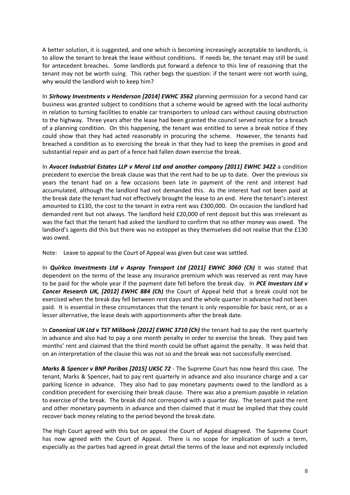A better solution, it is suggested, and one which is becoming increasingly acceptable to landlords, is to allow the tenant to break the lease without conditions. If needs be, the tenant may still be sued for antecedent breaches. Some landlords put forward a defence to this line of reasoning that the tenant may not be worth suing. This rather begs the question: if the tenant were not worth suing, why would the landlord wish to keep him?

In *Sirhowy Investments v Henderson [2014] EWHC 3562* planning permission for a second hand car business was granted subject to conditions that a scheme would be agreed with the local authority in relation to turning facilities to enable car transporters to unload cars without causing obstruction to the highway. Three years after the lease had been granted the council served notice for a breach of a planning condition. On this happening, the tenant was entitled to serve a break notice if they could show that they had acted reasonably in procuring the scheme. However, the tenants had breached a condition as to exercising the break in that they had to keep the premises in good and substantial repair and as part of a fence had fallen down exercise the break.

In *Avocet Industrial Estates LLP v Merol Ltd and another company [2011] EWHC 3422* a condition precedent to exercise the break clause was that the rent had to be up to date. Over the previous six years the tenant had on a few occasions been late in payment of the rent and interest had accumulated, although the landlord had not demanded this. As the interest had not been paid at the break date the tenant had not effectively brought the lease to an end. Here the tenant's interest amounted to £130, the cost to the tenant in extra rent was £300,000. On occasion the landlord had demanded rent but not always. The landlord held £20,000 of rent deposit but this was irrelevant as was the fact that the tenant had asked the landlord to confirm that no other money was owed. The landlord's agents did this but there was no estoppel as they themselves did not realise that the £130 was owed.

Note: Leave to appeal to the Court of Appeal was given but case was settled.

In *Quirkco Investments Ltd v Aspray Transport Ltd [2011] EWHC 3060 (Ch)* it was stated that dependent on the terms of the lease any insurance premium which was reserved as rent may have to be paid for the whole year if the payment date fell before the break day. In *PCE Investors Ltd v Cancer Research UK, [2012] EWHC 884 (Ch)* the Court of Appeal held that a break could not be exercised when the break day fell between rent days and the whole quarter in advance had not been paid. It is essential in these circumstances that the tenant is only responsible for basic rent, or as a lesser alternative, the lease deals with apportionments after the break date.

In *Canonical UK Ltd v TST Millbank [2012] EWHC 3710 (Ch)* the tenant had to pay the rent quarterly in advance and also had to pay a one month penalty in order to exercise the break. They paid two months' rent and claimed that the third month could be offset against the penalty. It was held that on an interpretation of the clause this was not so and the break was not successfully exercised.

*Marks & Spencer v BNP Paribas [2015] UKSC 72* - The Supreme Court has now heard this case. The tenant, Marks & Spencer, had to pay rent quarterly in advance and also insurance charge and a car parking licence in advance. They also had to pay monetary payments owed to the landlord as a condition precedent for exercising their break clause. There was also a premium payable in relation to exercise of the break. The break did not correspond with a quarter day. The tenant paid the rent and other monetary payments in advance and then claimed that it must be implied that they could recover back money relating to the period beyond the break date.

The High Court agreed with this but on appeal the Court of Appeal disagreed. The Supreme Court has now agreed with the Court of Appeal. There is no scope for implication of such a term, especially as the parties had agreed in great detail the terms of the lease and not expressly included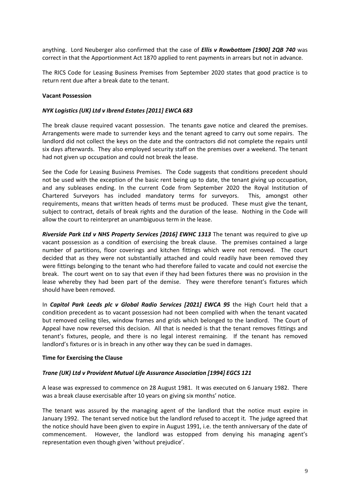anything. Lord Neuberger also confirmed that the case of *Ellis v Rowbottom [1900] 2QB 740* was correct in that the Apportionment Act 1870 applied to rent payments in arrears but not in advance.

The RICS Code for Leasing Business Premises from September 2020 states that good practice is to return rent due after a break date to the tenant.

#### **Vacant Possession**

#### *NYK Logistics (UK) Ltd v Ibrend Estates [2011] EWCA 683*

The break clause required vacant possession. The tenants gave notice and cleared the premises. Arrangements were made to surrender keys and the tenant agreed to carry out some repairs. The landlord did not collect the keys on the date and the contractors did not complete the repairs until six days afterwards. They also employed security staff on the premises over a weekend. The tenant had not given up occupation and could not break the lease.

See the Code for Leasing Business Premises. The Code suggests that conditions precedent should not be used with the exception of the basic rent being up to date, the tenant giving up occupation, and any subleases ending. In the current Code from September 2020 the Royal Institution of Chartered Surveyors has included mandatory terms for surveyors. This, amongst other requirements, means that written heads of terms must be produced. These must give the tenant, subject to contract, details of break rights and the duration of the lease. Nothing in the Code will allow the court to reinterpret an unambiguous term in the lease.

*Riverside Park Ltd v NHS Property Services [2016] EWHC 1313* The tenant was required to give up vacant possession as a condition of exercising the break clause. The premises contained a large number of partitions, floor coverings and kitchen fittings which were not removed. The court decided that as they were not substantially attached and could readily have been removed they were fittings belonging to the tenant who had therefore failed to vacate and could not exercise the break. The court went on to say that even if they had been fixtures there was no provision in the lease whereby they had been part of the demise. They were therefore tenant's fixtures which should have been removed.

In *Capitol Park Leeds plc v Global Radio Services [2021] EWCA 95* the High Court held that a condition precedent as to vacant possession had not been complied with when the tenant vacated but removed ceiling tiles, window frames and grids which belonged to the landlord. The Court of Appeal have now reversed this decision. All that is needed is that the tenant removes fittings and tenant's fixtures, people, and there is no legal interest remaining. If the tenant has removed landlord's fixtures or is in breach in any other way they can be sued in damages.

#### **Time for Exercising the Clause**

#### *Trane (UK) Ltd v Provident Mutual Life Assurance Association [1994] EGCS 121*

A lease was expressed to commence on 28 August 1981. It was executed on 6 January 1982. There was a break clause exercisable after 10 years on giving six months' notice.

The tenant was assured by the managing agent of the landlord that the notice must expire in January 1992. The tenant served notice but the landlord refused to accept it. The judge agreed that the notice should have been given to expire in August 1991, i.e. the tenth anniversary of the date of commencement. However, the landlord was estopped from denying his managing agent's representation even though given 'without prejudice'.